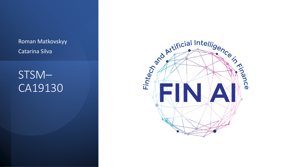Roman Matkovskyy Catarina Silva

STSM– CA19130

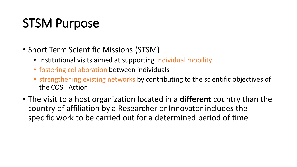# STSM Purpose

- Short Term Scientific Missions (STSM)
	- institutional visits aimed at supporting individual mobility
	- fostering collaboration between individuals
	- strengthening existing networks by contributing to the scientific objectives of the COST Action
- The visit to a host organization located in a **different** country than the country of affiliation by a Researcher or Innovator includes the specific work to be carried out for a determined period of time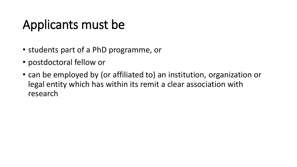# Applicants must be

- students part of a PhD programme, or
- postdoctoral fellow or
- can be employed by (or affiliated to) an institution, organization or legal entity which has within its remit a clear association with research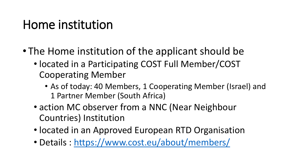# Home institution

- The Home institution of the applicant should be
	- located in a Participating COST Full Member/COST Cooperating Member
		- As of today: 40 Members, 1 Cooperating Member (Israel) and 1 Partner Member (South Africa)
	- action MC observer from a NNC (Near Neighbour Countries) Institution
	- located in an Approved European RTD Organisation
	- Details : <https://www.cost.eu/about/members/>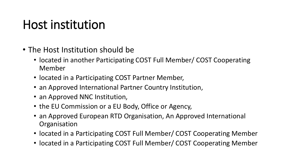# Host institution

- The Host Institution should be
	- located in another Participating COST Full Member/ COST Cooperating Member
	- located in a Participating COST Partner Member,
	- an Approved International Partner Country Institution,
	- an Approved NNC Institution,
	- the EU Commission or a EU Body, Office or Agency,
	- an Approved European RTD Organisation, An Approved International **Organisation**
	- located in a Participating COST Full Member/ COST Cooperating Member
	- located in a Participating COST Full Member/ COST Cooperating Member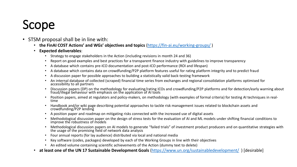# **Scope**

- STSM proposal shall be in line with:
	- **the FinAI COST Actions' and WGs' objectives and topics** (<https://fin-ai.eu/working-groups/> )
	- **Expected deliverables**:
		- Strategy to engage stakeholders in the Action (including revisions in month 24 and 36)
		- Report on good examples and best practices for a transparent finance industry with guidelines to improve transparency
		- A database which contains pre-ICO documentation and post-ICO performance (ROI and lifespan)
		- A database which contains data on crowdfunding/P2P platform features useful for rating platform integrity and to predict fraud
		- A discussion paper for possible approaches to building a statistically valid back-testing framework
		- An internal database of collected (scraped) financial time series from exchanges and regional consolidation platforms optimised for accessibility to all partners
		- Discussion papers (DP) on the methodology for evaluating/rating ICOs and crowdfunding/P2P platforms and for detection/early warning about fraud/illegal behaviour with emphasis on the application of AI tools
		- Position papers, aimed at regulators and policy-makers, on methodology (with examples of formal criteria) for testing AI techniques in realtime
		- Handbook and/or wiki page describing potential approaches to tackle risk management issues related to blockchain assets and crowdfunding/P2P lending
		- A position paper and roadmap on mitigating risks connected with the increased use of digital assets
		- Methodological discussion paper on the design of stress tests for the evaluation of AI and ML models under shifting financial conditions to improve the robustness of models
		- Methodological discussion papers on AI models to generate "failed trials" of investment product producers and on quantitative strategies with the usage of the promising field of network data analysis
		- Four annual reports (for lay audience) distributed via local and national media
		- Key software (codes, packages) developed by each of the Working Groups in line with their objectives
		- An edited volume containing scientific achievements of the Action (dummy text to delete)
	- **at least one of the UN 17 Sustainable Development Goals** [\(https://www.un.org/sustainabledevelopment/](https://www.un.org/sustainabledevelopment/) ) [desirable]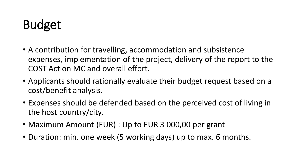# Budget

- A contribution for travelling, accommodation and subsistence expenses, implementation of the project, delivery of the report to the COST Action MC and overall effort.
- Applicants should rationally evaluate their budget request based on a cost/benefit analysis.
- Expenses should be defended based on the perceived cost of living in the host country/city.
- Maximum Amount (EUR) : Up to EUR 3 000,00 per grant
- Duration: min. one week (5 working days) up to max. 6 months.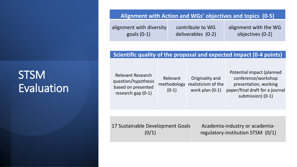#### **Alignment with Action and WGs' objectives and topics (0-5)**

| alignment with diversity | contribute to WG   | alignment with the WG |
|--------------------------|--------------------|-----------------------|
| goals $(0-1)$            | deliverables (0-2) | objectives (0-2)      |

#### **Scientific quality of the proposal and expected impact (0-4 points)**

Relevant Research question/hypothesis based on presented research gap (0-1)

Relevant methodology (0-1) Originality and realisticism of the work plan (0-1)

Potential impact (planned conference/workshop presentation, working paper/final draft for a journal submission) (0-1)

17 Sustainable Development Goals  $(0/1)$ 

Academia-industry or academiaregulatory-institution STSM (0/1)

### **STSM** Evaluation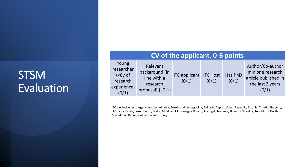## **STSM** Evaluation

| CV of the applicant, 0-6 points                                               |                                                                            |                                        |       |                  |                                                                                           |  |
|-------------------------------------------------------------------------------|----------------------------------------------------------------------------|----------------------------------------|-------|------------------|-------------------------------------------------------------------------------------------|--|
| Young<br>researcher<br>( <sub>8y</sub> of<br>research<br>experience)<br>(0/1) | Relevant<br>background (in<br>line with a<br>research<br>proposal) $(0-1)$ | <b>ITC applicant ITC Host</b><br>(0/1) | (0/1) | Has PhD<br>(0/1) | Author/Co-author<br>min one research<br>article published in<br>the last 3 years<br>(0/1) |  |

ITC - Inclusiveness target countries: Albania, Bosnia and Herzegovina, Bulgaria, Cyprus, Czech Republic, Estonia, Croatia, Hungary, Lithuania, Latvia, Luxembourg, Malta, Moldova, Montenegro, Poland, Portugal, Romania, Slovenia, Slovakia, Republic of North Macedonia, Republic of Serbia and Turkey.